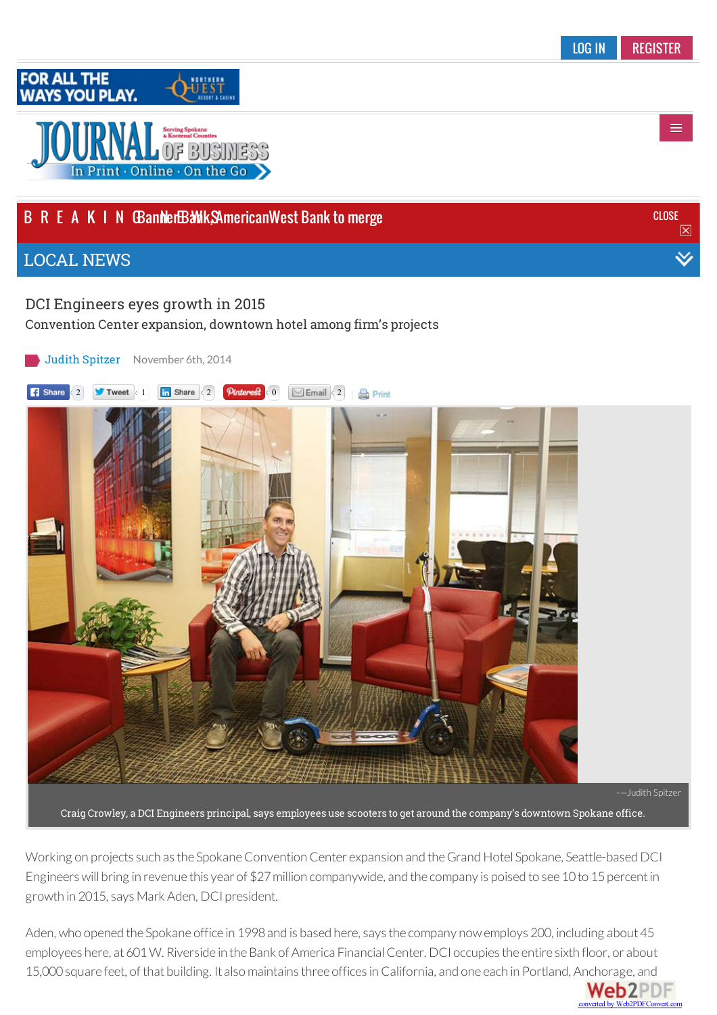

## B R E A K I N **GBannerBaWk, SAmerican West Bank to merge** and the state of the state of the state of the close

## LOCAL [NEWS](http://www.spokanejournal.com/local-news/)

## DCI [Engineers](http://www.spokanejournal.com/up-close/) eyes growth in 2015

Convention Center [expansion,](http://www.spokanejournal.com/regular-features/) downtown hotel among firm's projects

Judith [Spitzer](/authors/spitzer-judith) [November](http://spokanejournal.wa.newsmemory.com/?token=) 6th, 2014

**1 Share** [2](http://www.spokanejournal.com/subscriber-services/) **1 2 Tweet** 1 **in** Share 2 **Pinterest** 0 **Email** 2 **A** Print



Craig Crowley, a DCI Engineers principal, says employees use scooters to get around the company's downtown Spokane office.

Working on projects such as the Spokane Convention Center expansion and the Grand Hotel Spokane, Seattle-based DCI Engineers will bring in revenue this year of \$27 million companywide, and the company is poised to see 10 to 15 percent in growth in 2015, says Mark Aden, DCI president.

Aden, who opened the Spokane office in 1998 and is based here, says the company now employs 200, including about 45 employees here, at 601 W. Riverside in the Bank of America Financial Center. DCI occupies the entire sixth floor, or about 15,000 square feet, of that building. It also maintains three offices in California, and one each in Portland, [Anchorage,](http://www.web2pdfconvert.com?ref=PDF) and

**Web2PDF** converted by Web2PDFConvert.com

 $\equiv$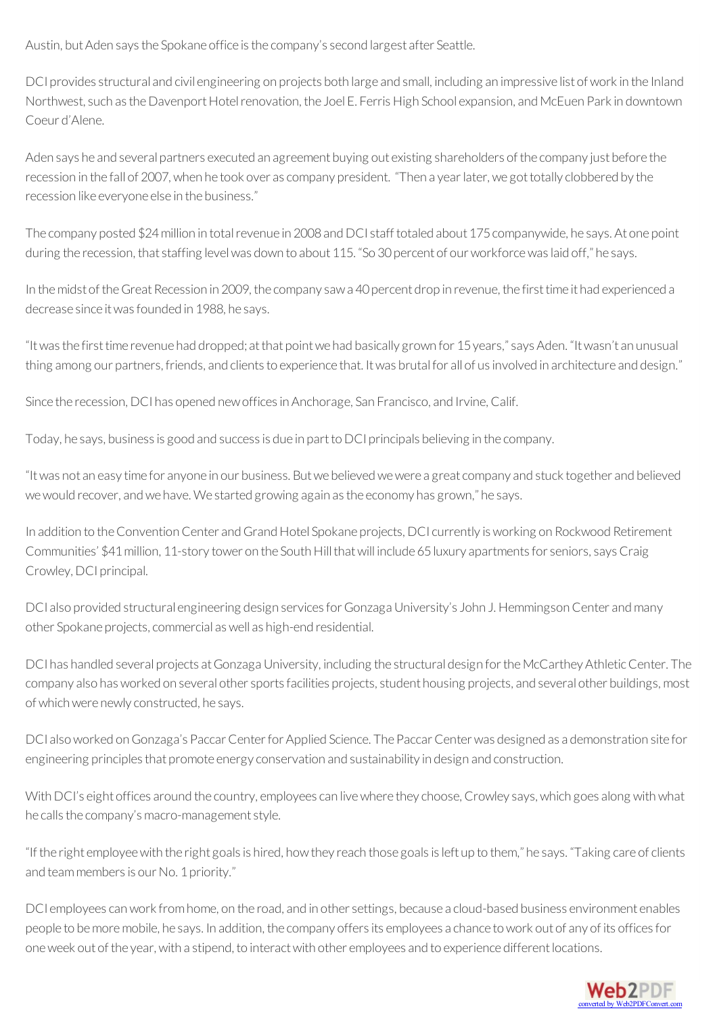Austin, but Aden says the Spokane office is the company's second largest after Seattle.

DCI provides structural and civil engineering on projects both large and small, including an impressive list of work in the Inland Northwest, such as the Davenport Hotel renovation, the Joel E. Ferris High School expansion, and McEuen Park in downtown Coeur d'Alene.

Aden says he and several partners executed an agreement buying out existing shareholders ofthe company just before the recession in the fall of 2007, when he took over as company president. "Then a year later, we got totally clobbered by the recession like everyone else in the business."

The company posted \$24 million in total revenue in 2008 and DCI staff totaled about 175 companywide, he says. At one point during the recession, that staffing level was down to about 115. "So 30 percent of our workforce was laid off," he says.

In the midst of the Great Recession in 2009, the company sawa 40 percent drop in revenue, the first time it had experienced a decrease since it was founded in 1988, he says.

"It was the first time revenue had dropped; at that point we had basically grown for 15 years," says Aden. "It wasn't an unusual thing among our partners, friends, and clients to experience that. It was brutal for all of us involved in architecture and design."

Since the recession, DCI has opened new offices in Anchorage, San Francisco, and Irvine, Calif.

Today, he says, business is good and success is due in part to DCI principals believing in the company.

"Itwas not an easy time for anyone in our business. Butwe believedwewere a greatcompany and stuck together and believed we would recover, and we have. We started growing again as the economy has grown," he says.

In addition to the Convention Center and Grand Hotel Spokane projects, DCI currently is working on Rockwood Retirement Communities' \$41 million, 11-story tower on the South Hill that will include 65 luxury apartments for seniors, says Craig Crowley, DCI principal.

DCI also provided structural engineering design services for Gonzaga University's John J. Hemmingson Center and many other Spokane projects,commercial aswell as high-end residential.

DCI has handled several projects at Gonzaga University, including the structural design for the McCarthey Athletic Center. The company also has worked on several other sports facilities projects, student housing projects, and several other buildings, most of which were newly constructed, he says.

DCI also worked on Gonzaga's Paccar Center for Applied Science. The Paccar Center was designed as a demonstration site for engineering principlesthat promote energy conservation and sustainability in design and construction.

With DCI's eight offices around the country, employees can live where they choose, Crowley says, which goes along with what he calls the company's macro-management style.

"Ifthe right employeewith the right goalsis hired, howthey reach those goalsisleft up to them," he says. "Taking care ofclients and team members is our No. 1 priority."

DCI employees can work from home, on the road, and in other settings, because a cloud-based business environment enables people to be more mobile, he says. In addition, the company offers its employees a chance to work out of any of its offices for one week out of the year, with a stipend, to interact with other employees and to experience different locations.

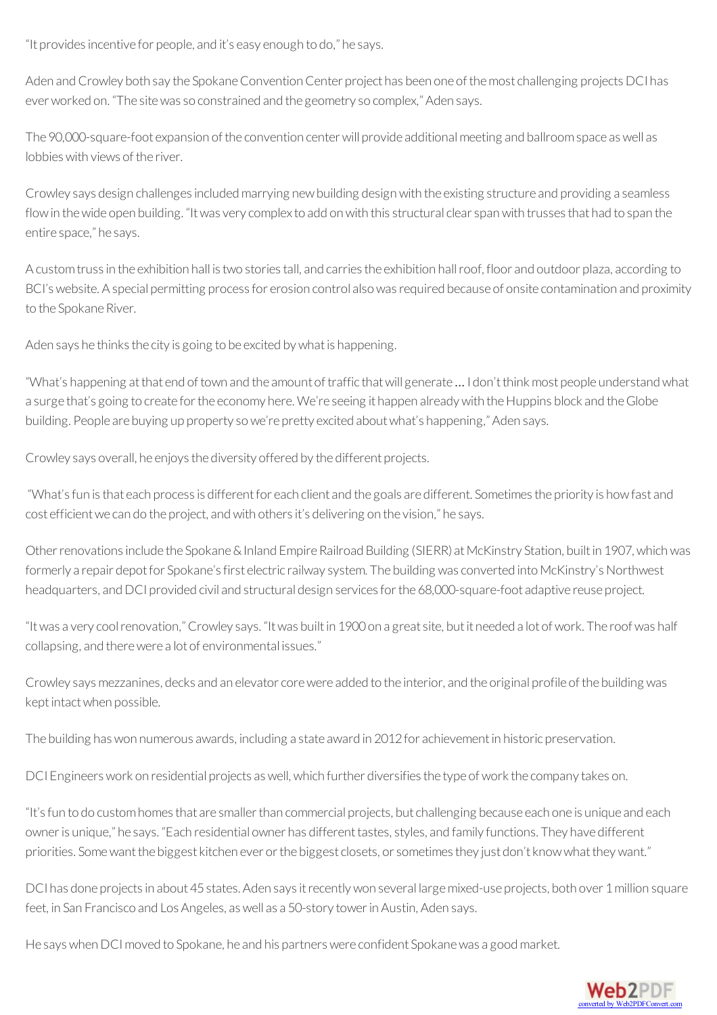"It providesincentive for people, and it's easy enough to do," he says.

Aden and Crowley both say the Spokane Convention Center project has been one of the most challenging projects DCI has ever worked on. "The site was so constrained and the geometry so complex," Aden says.

The 90,000-square-foot expansion of the convention center will provide additional meeting and ballroom space as well as lobbieswith views ofthe river.

Crowley says design challenges included marrying new building design with the existing structure and providing a seamless flow in the wide open building. "It was very complex to add on with this structural clear span with trusses that had to span the entire space," he says.

A customtrussin the exhibition hall istwo storiestall, and carriesthe exhibition hallroof, floor and outdoor plaza, according to BCI's website. A special permitting process for erosion control also was required because of onsite contamination and proximity to the Spokane River.

Aden says he thinks the city is going to be excited by what is happening.

"What's happening at that end of town and the amount of traffic that will generate ... I don't think most people understand what a surge that's going to create for the economy here. We're seeing it happen already with the Huppins block and the Globe building. People are buying up property sowe're pretty excited aboutwhat's happening," Aden says.

Crowley says overall, he enjoys the diversity offered by the different projects.

"What's fun is that each process is different for each client and the goals are different. Sometimes the priority is how fast and cost efficient we can do the project, and with others it's delivering on the vision," he says.

Other renovations include the Spokane & Inland Empire Railroad Building (SIERR) at McKinstry Station, built in 1907, which was formerly a repair depot for Spokane's first electric railway system. The building was converted into McKinstry's Northwest headquarters, and DCI provided civil and structural design services for the 68,000-square-foot adaptive reuse project.

"Itwas a very coolrenovation,"Crowley says. "Itwas builtin 1900on a greatsite, butit needed a lot ofwork. The roofwas half collapsing, and therewere a lot of environmental issues."

Crowley says mezzanines, decks and an elevator core were added to the interior, and the original profile of the building was kept intact when possible.

The building has won numerous awards, including a state award in 2012 for achievement in historic preservation.

DCI Engineers work on residential projects as well, which further diversifies the type of work the company takes on.

"It's fun to do custom homes that are smaller than commercial projects, but challenging because each one is unique and each owner is unique," he says. "Each residential owner has different tastes, styles, and family functions. They have different priorities. Some want the biggest kitchen ever or the biggest closets, or sometimes they just don't know what they want."

DCI has done projects in about 45 states. Aden says it recently won several large mixed-use projects, both over 1 million square feet, in San Francisco and Los Angeles, aswell as a 50-story towerin Austin, Aden says.

He says when DCI moved to Spokane, he and his partners were confident Spokane was a good market.

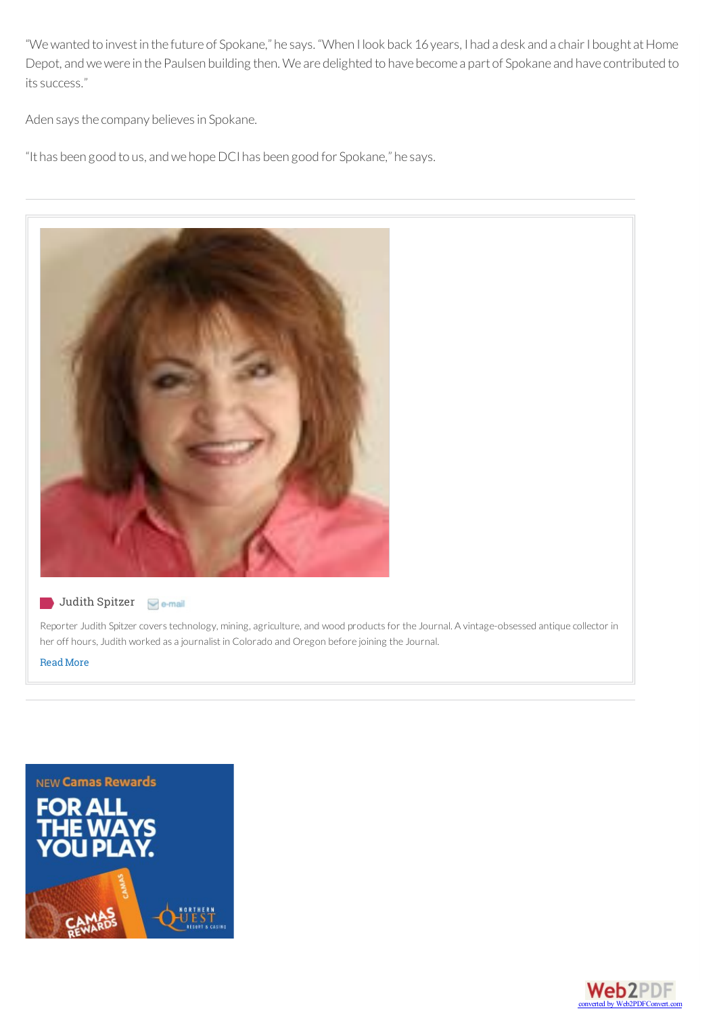"We wanted to invest in the future of Spokane," he says. "When I look back 16 years, I had a desk and a chair I bought at Home Depot, and we were in the Paulsen building then. We are delighted to have become a part of Spokane and have contributed to its success."

Aden says the company believes in Spokane.

"It has been good to us, and we hope DCI has been good for Spokane," he says.



#### Judith Spitzer **Ge-mail**

Reporter Judith Spitzer covers technology, mining, agriculture, and wood products for the Journal. A vintage-obsessed antique collector in her off hours, Judith worked as a journalist in Colorado and Oregon before joining the Journal.

[ReadMore](/authors/spitzer-judith/)



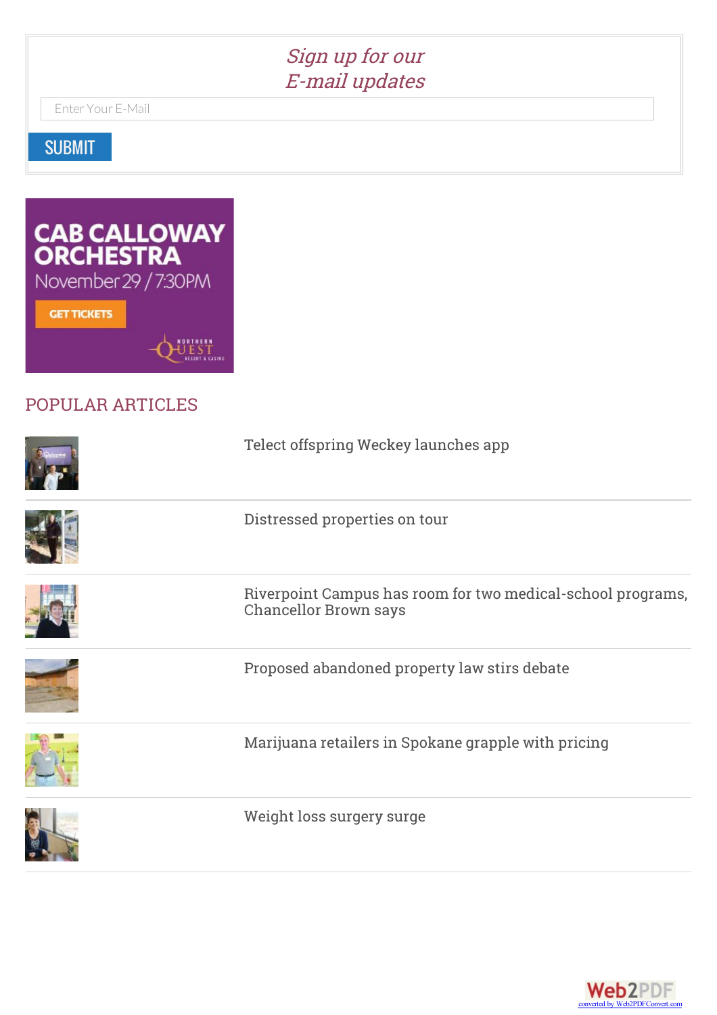# Sign up for our E-mail updates

Enter Your E-Mail

SUBMIT



# POPULAR [ARTICLES](/local-news)

| Telect offspring Weckey launches app                                                        |
|---------------------------------------------------------------------------------------------|
| Distressed properties on tour                                                               |
| Riverpoint Campus has room for two medical-school programs,<br><b>Chancellor Brown says</b> |
| Proposed abandoned property law stirs debate                                                |
| Marijuana retailers in Spokane grapple with pricing                                         |
| Weight loss surgery surge                                                                   |